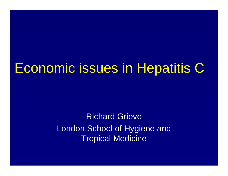# Economic issues in Hepatitis C

Richard GrieveLondon School of Hygiene and Tropical Medicine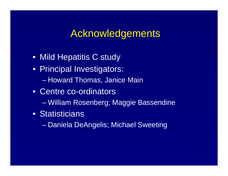### Acknowledgements

- Mild Hepatitis C study
- Principal Investigators:
	- Howard Thomas, Janice Main
- Centre co-ordinators
	- William Rosenberg; Maggie Bassendine
- •Statisticians
	- Daniela DeAngelis; Michael Sweeting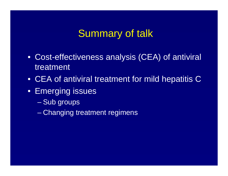### Summary of talk

- Cost-effectiveness analysis (CEA) of antiviral treatment
- CEA of antiviral treatment for mild hepatitis C
- Emerging issues
	- Sub groups
	- Changing treatment regimens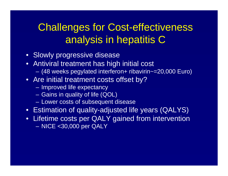# Challenges for Cost-effectiveness analysis in hepatitis C

- Slowly progressive disease
- Antiviral treatment has high initial cost
	- (48 weeks pegylated interferon+ ribavirin~=20,000 Euro)
- Are initial treatment costs offset by?
	- Improved life expectancy
	- Gains in quality of life (QOL)
	- $\mathcal{L}_{\mathcal{A}}$ Lower costs of subsequent disease
- Estimation of quality-adjusted life years (QALYS)
- $\bullet$ Lifetime costs per QALY gained from intervention – NICE <30,000 per QALY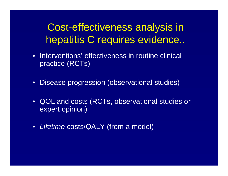Cost-effectiveness analysis in hepatitis C requires evidence..

- $\bullet$  Interventions' effectiveness in routine clinical practice (RCTs)
- $\bullet$ Disease progression (observational studies)
- $\bullet$ QOL and costs (RCTs, observational studies or expert opinion)
- $\bullet$ *Lifetime* costs/QALY (from a model)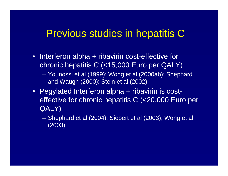### Previous studies in hepatitis C

- Interferon alpha + ribavirin cost-effective for chronic hepatitis C (<15,000 Euro per QALY)
	- Younossi et al (1999); Wong et al (2000ab); Shephard and Waugh (2000); Stein et al (2002)
- Pegylated Interferon alpha + ribavirin is costeffective for chronic hepatitis C (<20,000 Euro per QALY)
	- Shephard et al (2004); Siebert et al (2003); Wong et al (2003)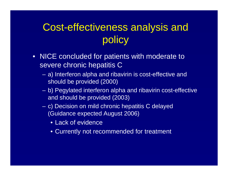# Cost-effectiveness analysis and policy

- $\bullet$ NICE concluded for patients with moderate to severe chronic hepatitis C
	- a) Interferon alpha and ribavirin is cost-effective and should be provided (2000)
	- b) Pegylated interferon alpha and ribavirin cost-effective and should be provided (2003)
	- c) Decision on mild chronic hepatitis C delayed (Guidance expected August 2006)
		- Lack of evidence
		- Currently not recommended for treatment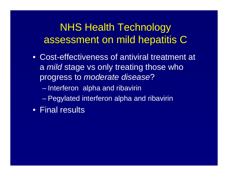NHS Health Technology assessment on mild hepatitis C

- •Cost-effectiveness of antiviral treatment at a *mild* stage vs only treating those who progress to *moderate disease* ?
	- Interferon alpha and ribavirin
	- Pegylated interferon alpha and ribavirin
- •Final results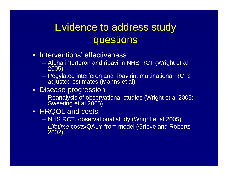# Evidence to address study questions

- Interventions' effectiveness:
	- Alpha interferon and ribavirin NHS RCT ( Wright et al 2005)
	- Pegylated interferon and ribavirin: multinational RCTs adjusted estimates (Manns et al)
- Disease progression
	- Reanalysis of observational studies ( Wright et al 2005; Sweeting et al 2005)
- HRQOL and costs
	- NHS RCT, observational study (Wright et al 2005)
	- *Lifetime* costs/QALY from model (Grieve and Roberts 2002)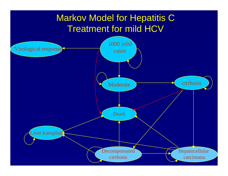#### Markov Model for Hepatitis C Treatment for mild HCV

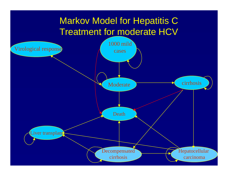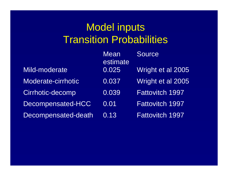# Model inputs Transition Probabilities

|                     | <b>Mean</b><br>estimate | Source                 |
|---------------------|-------------------------|------------------------|
| Mild-moderate       | 0.025                   | Wright et al 2005      |
| Moderate-cirrhotic  | 0.037                   | Wright et al 2005      |
| Cirrhotic-decomp    | 0.039                   | <b>Fattovitch 1997</b> |
| Decompensated-HCC   | 0.01                    | <b>Fattovitch 1997</b> |
| Decompensated-death | 0.13                    | <b>Fattovitch 1997</b> |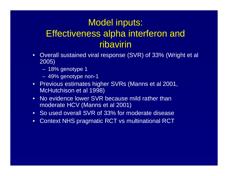### Model inputs: Effectiveness alpha interferon and ribavirin

- $\bullet$  Overall sustained viral response (SVR) of 33% (Wright et al 2005)
	- 18% genotype 1
	- 49% genotype non-1
- Previous estimates higher SVRs (Manns et al 2001, McHutchison et al 1998)
- $\bullet$  No evidence lower SVR because mild rather than moderate HCV (Manns et al 2001)
- So used overall SVR of 33% for moderate disease
- $\bullet$ Context NHS pragmatic RCT vs multinational RCT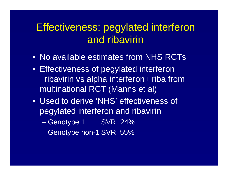### Effectiveness: pegylated interferon and ribavirin

- No available estimates from NHS RCTs
- Effectiveness of pegylated interferon +ribavirin vs alpha interferon+ riba from multinational RCT (Manns et al)
- Used to derive 'NHS' effectiveness of pegylated interferon and ribavirin
	- Genotype 1 SVR: 24%
	- Genotype non-1 SVR: 55%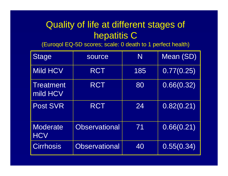#### Quality of life at different stages of **hepatitis C**

(Euroqol EQ-5D scores; scale: 0 death to 1 perfect health)

| <b>Stage</b>                  | source               | N   | Mean (SD)  |
|-------------------------------|----------------------|-----|------------|
| <b>Mild HCV</b>               | <b>RCT</b>           | 185 | 0.77(0.25) |
| <b>Treatment</b><br>mild HCV  | <b>RCT</b>           | 80  | 0.66(0.32) |
| <b>Post SVR</b>               | <b>RCT</b>           | 24  | 0.82(0.21) |
| <b>Moderate</b><br><b>HCV</b> | <b>Observational</b> | 71  | 0.66(0.21) |
| <b>Cirrhosis</b>              | <b>Observational</b> | 40  | 0.55(0.34) |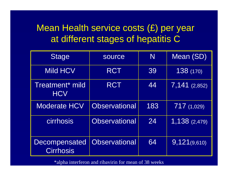#### Mean Health service costs (£) per year at different stages of hepatitis C

| Stage                             | source               | N   | Mean (SD)       |
|-----------------------------------|----------------------|-----|-----------------|
| <b>Mild HCV</b>                   | <b>RCT</b>           | 39  | 138(170)        |
| Treatment* mild<br><b>HCV</b>     | <b>RCT</b>           | 44  | $7,141$ (2,852) |
| <b>Moderate HCV</b>               | <b>Observational</b> | 183 | 717(1,029)      |
| <b>cirrhosis</b>                  | <b>Observational</b> | 24  | 1,138 (2,479)   |
| Decompensated<br><b>Cirrhosis</b> | <b>Observational</b> | 64  | 9,121(9,610)    |

\*alpha interferon and ribavirin for mean of 38 weeks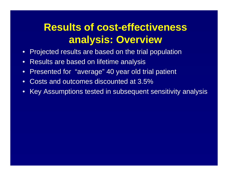## **Results of cost-effectiveness analysis: Overview**

- •Projected results are based on the trial population
- •Results are based on lifetime analysis
- •Presented for "average" 40 year old trial patient
- •Costs and outcomes discounted at 3.5%
- •Key Assumptions tested in subsequent sensitivity analysis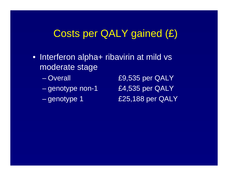### Costs per QALY gained (£)

- Interferon alpha+ ribavirin at mild vs moderate stage
	- –
	- –
	- genotype 1

£9,535 per QALY £4,535 per QALY £25,188 per QALY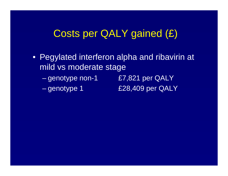### Costs per QALY gained (£)

- Pegylated interferon alpha and ribavirin at mild vs moderate stage
	- –

– genotype 1

£7,821 per QALY £28,409 per QALY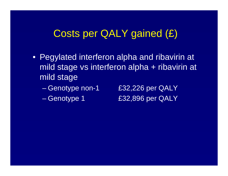### Costs per QALY gained (£)

- Pegylated interferon alpha and ribavirin at mild stage vs interferon alpha + ribavirin at mild stage
	- Genotype non-1
	- Genotype 1

£32,226 per QALY £32,896 per QALY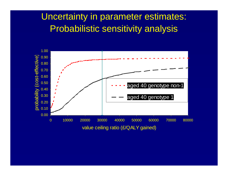#### Uncertainty in parameter estimates: Probabilistic sensitivity analysis

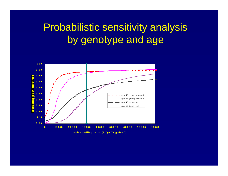# Probabilistic sensitivity analysis by genotype and age

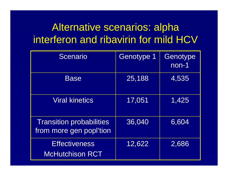# Alternative scenarios: alpha interferon and ribavirin for mild HCV

| <b>Scenario</b>                                            | <b>Genotype 1</b> | Genotype<br>non-1 |
|------------------------------------------------------------|-------------------|-------------------|
| <b>Base</b>                                                | 25,188            | 4,535             |
| <b>Viral kinetics</b>                                      | 17,051            | 1,425             |
| <b>Transition probabilities</b><br>from more gen popl'tion | 36,040            | 6,604             |
| <b>Effectiveness</b><br><b>McHutchison RCT</b>             | 12,622            | 2,686             |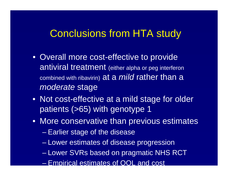#### Conclusions from HTA study

- Overall more cost-effective to provide antiviral treatment (either alpha or peg interferon combined with ribavirin) at a *mild* rather than a *moderate* stage
- Not cost-effective at a mild stage for older patients (>65) with genotype 1
- More conservative than previous estimates
	- Earlier stage of the disease
	- Lower estimates of disease progression
	- Lower SVRs based on pragmatic NHS RCT
	- Empirical estimates of QOL and cost